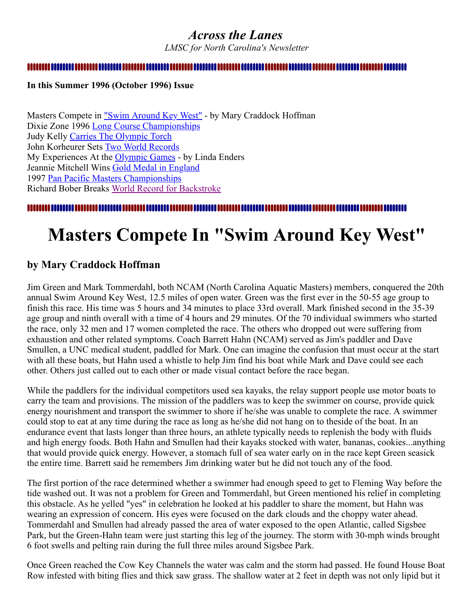## <span id="page-0-1"></span>*Across the Lanes*

*LMSC for North Carolina's Newsletter*

### **In this Summer 1996 (October 1996) Issue**

Masters Compete in ["Swim Around Key West"](#page-0-0) - by Mary Craddock Hoffman Dixie Zone 1996 [Long Course Championships](#page-1-0) Judy Kelly [Carries The Olympic Torch](#page-1-1) John Korheurer Sets [Two World Records](#page-2-0) My Experiences At the [Olympic Games](#page-2-1) - by Linda Enders Jeannie Mitchell Wins [Gold Medal in England](#page-3-0) 1997 [Pan Pacific Masters Championships](#page-3-1) Richard Bober Breaks [World Record for Backstroke](#page-3-2)

# <span id="page-0-0"></span>**Masters Compete In "Swim Around Key West"**

### **by Mary Craddock Hoffman**

Jim Green and Mark Tommerdahl, both NCAM (North Carolina Aquatic Masters) members, conquered the 20th annual Swim Around Key West, 12.5 miles of open water. Green was the first ever in the 50-55 age group to finish this race. His time was 5 hours and 34 minutes to place 33rd overall. Mark finished second in the 35-39 age group and ninth overall with a time of 4 hours and 29 minutes. Of the 70 individual swimmers who started the race, only 32 men and 17 women completed the race. The others who dropped out were suffering from exhaustion and other related symptoms. Coach Barrett Hahn (NCAM) served as Jim's paddler and Dave Smullen, a UNC medical student, paddled for Mark. One can imagine the confusion that must occur at the start with all these boats, but Hahn used a whistle to help Jim find his boat while Mark and Dave could see each other. Others just called out to each other or made visual contact before the race began.

While the paddlers for the individual competitors used sea kayaks, the relay support people use motor boats to carry the team and provisions. The mission of the paddlers was to keep the swimmer on course, provide quick energy nourishment and transport the swimmer to shore if he/she was unable to complete the race. A swimmer could stop to eat at any time during the race as long as he/she did not hang on to theside of the boat. In an endurance event that lasts longer than three hours, an athlete typically needs to replenish the body with fluids and high energy foods. Both Hahn and Smullen had their kayaks stocked with water, bananas, cookies...anything that would provide quick energy. However, a stomach full of sea water early on in the race kept Green seasick the entire time. Barrett said he remembers Jim drinking water but he did not touch any of the food.

The first portion of the race determined whether a swimmer had enough speed to get to Fleming Way before the tide washed out. It was not a problem for Green and Tommerdahl, but Green mentioned his relief in completing this obstacle. As he yelled "yes" in celebration he looked at his paddler to share the moment, but Hahn was wearing an expression of concern. His eyes were focused on the dark clouds and the choppy water ahead. Tommerdahl and Smullen had already passed the area of water exposed to the open Atlantic, called Sigsbee Park, but the Green-Hahn team were just starting this leg of the journey. The storm with 30-mph winds brought 6 foot swells and pelting rain during the full three miles around Sigsbee Park.

Once Green reached the Cow Key Channels the water was calm and the storm had passed. He found House Boat Row infested with biting flies and thick saw grass. The shallow water at 2 feet in depth was not only lipid but it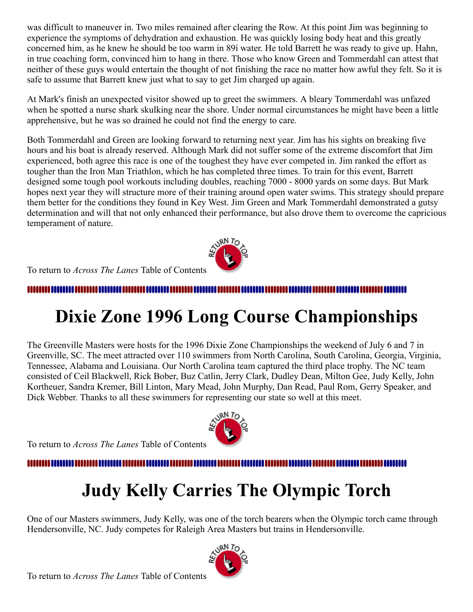was difficult to maneuver in. Two miles remained after clearing the Row. At this point Jim was beginning to experience the symptoms of dehydration and exhaustion. He was quickly losing body heat and this greatly concerned him, as he knew he should be too warm in 89í water. He told Barrett he was ready to give up. Hahn, in true coaching form, convinced him to hang in there. Those who know Green and Tommerdahl can attest that neither of these guys would entertain the thought of not finishing the race no matter how awful they felt. So it is safe to assume that Barrett knew just what to say to get Jim charged up again.

At Mark's finish an unexpected visitor showed up to greet the swimmers. A bleary Tommerdahl was unfazed when he spotted a nurse shark skulking near the shore. Under normal circumstances he might have been a little apprehensive, but he was so drained he could not find the energy to care.

Both Tommerdahl and Green are looking forward to returning next year. Jim has his sights on breaking five hours and his boat is already reserved. Although Mark did not suffer some of the extreme discomfort that Jim experienced, both agree this race is one of the toughest they have ever competed in. Jim ranked the effort as tougher than the Iron Man Triathlon, which he has completed three times. To train for this event, Barrett designed some tough pool workouts including doubles, reaching 7000 - 8000 yards on some days. But Mark hopes next year they will structure more of their training around open water swims. This strategy should prepare them better for the conditions they found in Key West. Jim Green and Mark Tommerdahl demonstrated a gutsy determination and will that not only enhanced their performance, but also drove them to overcome the capricious temperament of nature.



To return to *Across The Lanes* Table of Contents

### <span id="page-1-0"></span>mm

# **Dixie Zone 1996 Long Course Championships**

The Greenville Masters were hosts for the 1996 Dixie Zone Championships the weekend of July 6 and 7 in Greenville, SC. The meet attracted over 110 swimmers from North Carolina, South Carolina, Georgia, Virginia, Tennessee, Alabama and Louisiana. Our North Carolina team captured the third place trophy. The NC team consisted of Ceil Blackwell, Rick Bober, Buz Catlin, Jerry Clark, Dudley Dean, Milton Gee, Judy Kelly, John Kortheuer, Sandra Kremer, Bill Linton, Mary Mead, John Murphy, Dan Read, Paul Rom, Gerry Speaker, and Dick Webber. Thanks to all these swimmers for representing our state so well at this meet.

To return to *Across The Lanes* Table of Contents



### <span id="page-1-1"></span>m

# **Judy Kelly Carries The Olympic Torch**

One of our Masters swimmers, Judy Kelly, was one of the torch bearers when the Olympic torch came through Hendersonville, NC. Judy competes for Raleigh Area Masters but trains in Hendersonville.

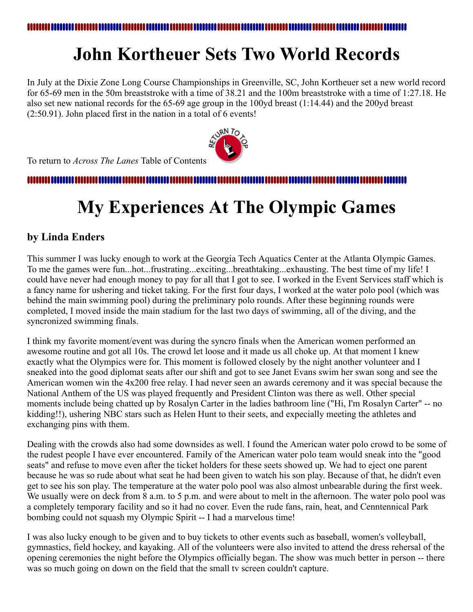# <span id="page-2-0"></span>**John Kortheuer Sets Two World Records**

In July at the Dixie Zone Long Course Championships in Greenville, SC, John Kortheuer set a new world record for 65-69 men in the 50m breaststroke with a time of 38.21 and the 100m breaststroke with a time of 1:27.18. He also set new national records for the 65-69 age group in the 100yd breast (1:14.44) and the 200yd breast (2:50.91). John placed first in the nation in a total of 6 events!



To return to *Across The Lanes* Table of Contents

<span id="page-2-1"></span>,,,,,,,,,,,,,,

# **My Experiences At The Olympic Games**

### **by Linda Enders**

This summer I was lucky enough to work at the Georgia Tech Aquatics Center at the Atlanta Olympic Games. To me the games were fun...hot...frustrating...exciting...breathtaking...exhausting. The best time of my life! I could have never had enough money to pay for all that I got to see. I worked in the Event Services staff which is a fancy name for ushering and ticket taking. For the first four days, I worked at the water polo pool (which was behind the main swimming pool) during the preliminary polo rounds. After these beginning rounds were completed, I moved inside the main stadium for the last two days of swimming, all of the diving, and the syncronized swimming finals.

I think my favorite moment/event was during the syncro finals when the American women performed an awesome routine and got all 10s. The crowd let loose and it made us all choke up. At that moment I knew exactly what the Olympics were for. This moment is followed closely by the night another volunteer and I sneaked into the good diplomat seats after our shift and got to see Janet Evans swim her swan song and see the American women win the 4x200 free relay. I had never seen an awards ceremony and it was special because the National Anthem of the US was played frequently and President Clinton was there as well. Other special moments include being chatted up by Rosalyn Carter in the ladies bathroom line ("Hi, I'm Rosalyn Carter" -- no kidding!!), ushering NBC stars such as Helen Hunt to their seets, and expecially meeting the athletes and exchanging pins with them.

Dealing with the crowds also had some downsides as well. I found the American water polo crowd to be some of the rudest people I have ever encountered. Family of the American water polo team would sneak into the "good seats" and refuse to move even after the ticket holders for these seets showed up. We had to eject one parent because he was so rude about what seat he had been given to watch his son play. Because of that, he didn't even get to see his son play. The temperature at the water polo pool was also almost unbearable during the first week. We usually were on deck from 8 a.m. to 5 p.m. and were about to melt in the afternoon. The water polo pool was a completely temporary facility and so it had no cover. Even the rude fans, rain, heat, and Cenntennical Park bombing could not squash my Olympic Spirit -- I had a marvelous time!

I was also lucky enough to be given and to buy tickets to other events such as baseball, women's volleyball, gymnastics, field hockey, and kayaking. All of the volunteers were also invited to attend the dress rehersal of the opening ceremonies the night before the Olympics officially began. The show was much better in person -- there was so much going on down on the field that the small tv screen couldn't capture.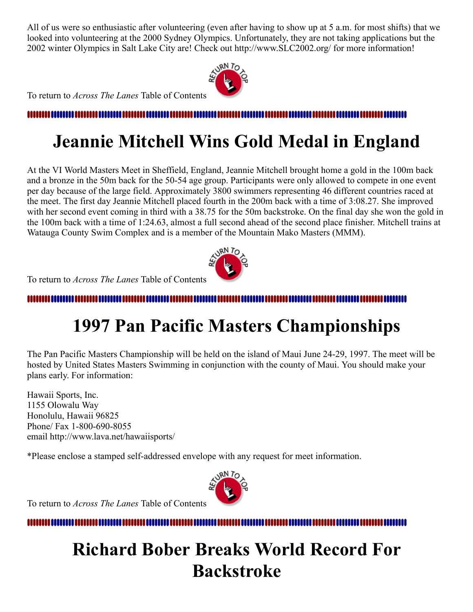All of us were so enthusiastic after volunteering (even after having to show up at 5 a.m. for most shifts) that we looked into volunteering at the 2000 Sydney Olympics. Unfortunately, they are not taking applications but the 2002 winter Olympics in Salt Lake City are! Check out http://www.SLC2002.org/ for more information!



To return to *Across The Lanes* Table of Contents

### <span id="page-3-0"></span>,,,,,,,,,,,

# **Jeannie Mitchell Wins Gold Medal in England**

At the VI World Masters Meet in Sheffield, England, Jeannie Mitchell brought home a gold in the 100m back and a bronze in the 50m back for the 50-54 age group. Participants were only allowed to compete in one event per day because of the large field. Approximately 3800 swimmers representing 46 different countries raced at the meet. The first day Jeannie Mitchell placed fourth in the 200m back with a time of 3:08.27. She improved with her second event coming in third with a 38.75 for the 50m backstroke. On the final day she won the gold in the 100m back with a time of 1:24.63, almost a full second ahead of the second place finisher. Mitchell trains at Watauga County Swim Complex and is a member of the Mountain Mako Masters (MMM).



To return to *Across The Lanes* Table of Contents

### <span id="page-3-1"></span>11111111111

# **1997 Pan Pacific Masters Championships**

The Pan Pacific Masters Championship will be held on the island of Maui June 24-29, 1997. The meet will be hosted by United States Masters Swimming in conjunction with the county of Maui. You should make your plans early. For information:

Hawaii Sports, Inc. 1155 Olowalu Way Honolulu, Hawaii 96825 Phone/ Fax 1-800-690-8055 email http://www.lava.net/hawaiisports/

\*Please enclose a stamped self-addressed envelope with any request for meet information.



To return to *Across The Lanes* Table of Contents

<span id="page-3-2"></span>,,,,,,,,,,,,

# **Richard Bober Breaks World Record For Backstroke**